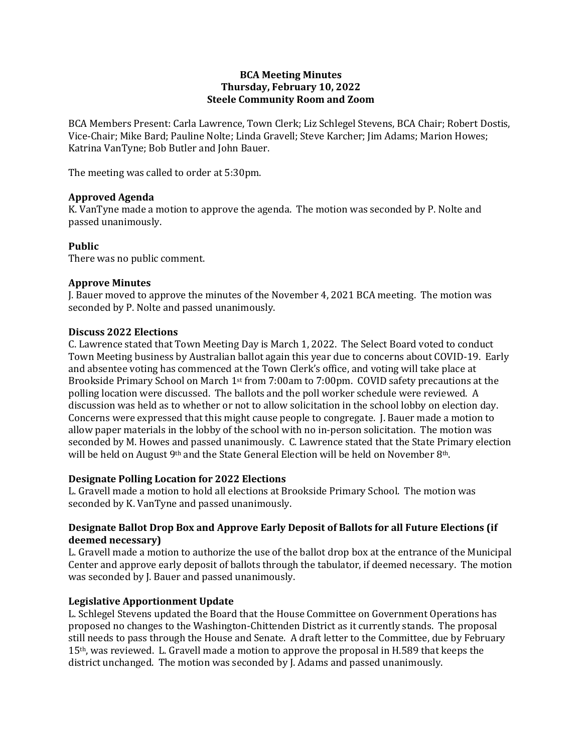#### **BCA Meeting Minutes Thursday, February 10, 2022 Steele Community Room and Zoom**

BCA Members Present: Carla Lawrence, Town Clerk; Liz Schlegel Stevens, BCA Chair; Robert Dostis, Vice-Chair; Mike Bard; Pauline Nolte; Linda Gravell; Steve Karcher; Jim Adams; Marion Howes; Katrina VanTyne; Bob Butler and John Bauer.

The meeting was called to order at 5:30pm.

### **Approved Agenda**

K. VanTyne made a motion to approve the agenda. The motion was seconded by P. Nolte and passed unanimously.

### **Public**

There was no public comment.

### **Approve Minutes**

J. Bauer moved to approve the minutes of the November 4, 2021 BCA meeting. The motion was seconded by P. Nolte and passed unanimously.

### **Discuss 2022 Elections**

C. Lawrence stated that Town Meeting Day is March 1, 2022. The Select Board voted to conduct Town Meeting business by Australian ballot again this year due to concerns about COVID-19. Early and absentee voting has commenced at the Town Clerk's office, and voting will take place at Brookside Primary School on March 1st from 7:00am to 7:00pm. COVID safety precautions at the polling location were discussed. The ballots and the poll worker schedule were reviewed. A discussion was held as to whether or not to allow solicitation in the school lobby on election day. Concerns were expressed that this might cause people to congregate. J. Bauer made a motion to allow paper materials in the lobby of the school with no in-person solicitation. The motion was seconded by M. Howes and passed unanimously. C. Lawrence stated that the State Primary election will be held on August 9<sup>th</sup> and the State General Election will be held on November 8<sup>th</sup>.

# **Designate Polling Location for 2022 Elections**

L. Gravell made a motion to hold all elections at Brookside Primary School. The motion was seconded by K. VanTyne and passed unanimously.

# **Designate Ballot Drop Box and Approve Early Deposit of Ballots for all Future Elections (if deemed necessary)**

L. Gravell made a motion to authorize the use of the ballot drop box at the entrance of the Municipal Center and approve early deposit of ballots through the tabulator, if deemed necessary. The motion was seconded by J. Bauer and passed unanimously.

# **Legislative Apportionment Update**

L. Schlegel Stevens updated the Board that the House Committee on Government Operations has proposed no changes to the Washington-Chittenden District as it currently stands. The proposal still needs to pass through the House and Senate. A draft letter to the Committee, due by February 15th, was reviewed. L. Gravell made a motion to approve the proposal in H.589 that keeps the district unchanged. The motion was seconded by J. Adams and passed unanimously.